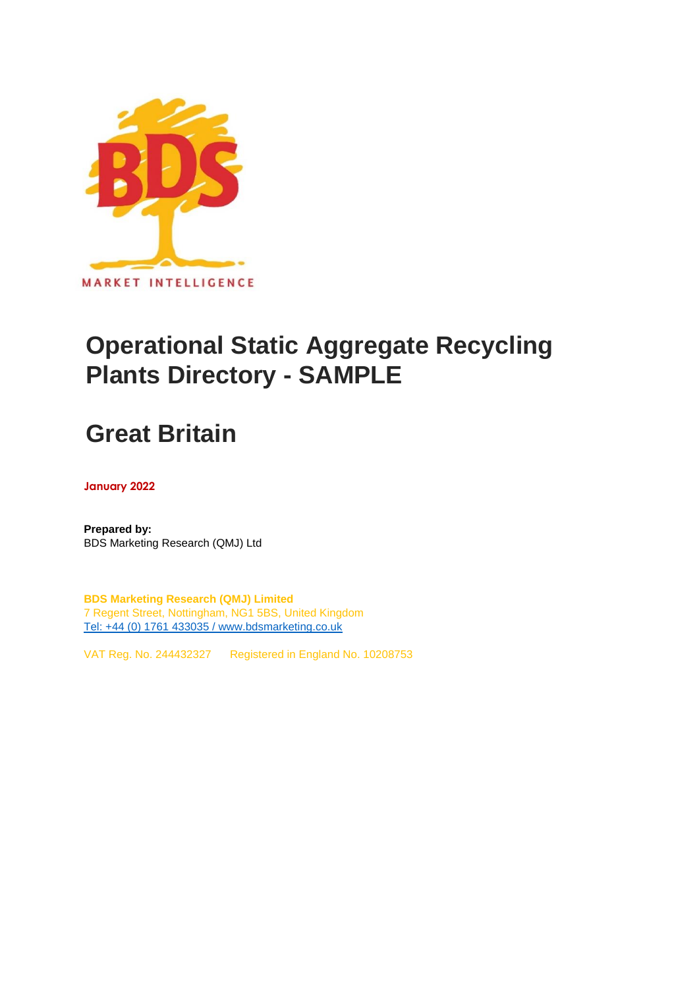

## **Operational Static Aggregate Recycling Plants Directory - SAMPLE**

# **Great Britain**

**January 2022**

**Prepared by:** BDS Marketing Research (QMJ) Ltd

**BDS Marketing Research (QMJ) Limited** 7 Regent Street, Nottingham, NG1 5BS, United Kingdom [Tel: +44 \(0\) 1761 433035 / www.bdsmarketing.co.uk](http://www.bdsmarketing.co.uk/)

VAT Reg. No. 244432327 Registered in England No. 10208753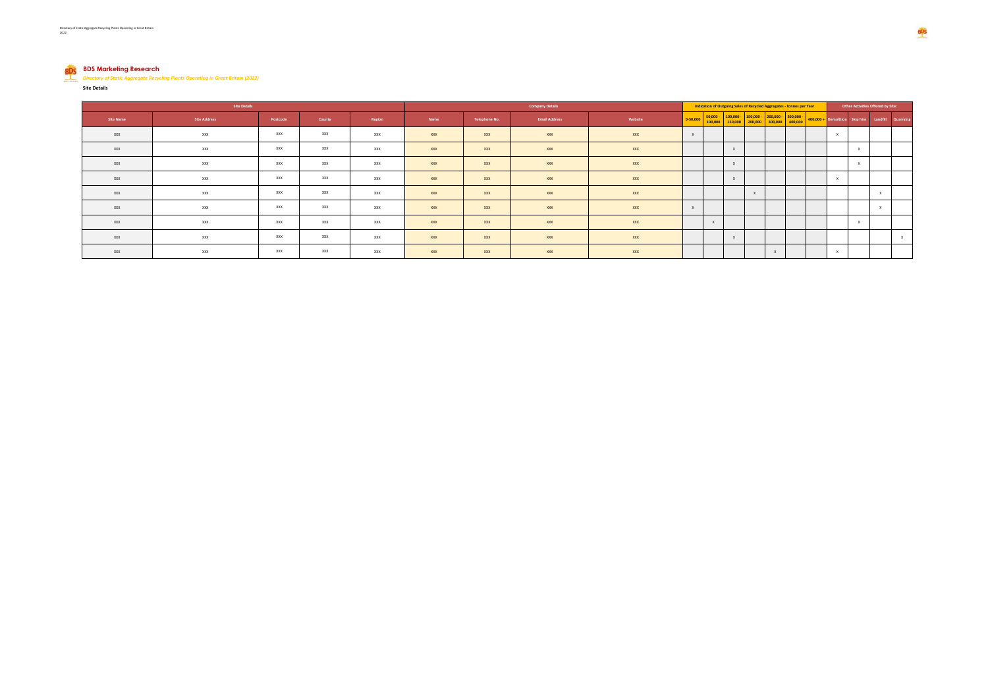### **BDS Marketing Research** *Directory of Static Aggregate Recycling Plants Operating in Great Britain (2022)*

**Site Details**

| Site Details |                     |            |        | <b>Company Details</b> |      |               |                      | Indication of Outgoing Sales of Recycled Aggregates - tonnes per Year |              |              |  |  |  |                                                                                               | Other Activities Offered by Site: |                                                   |  |              |
|--------------|---------------------|------------|--------|------------------------|------|---------------|----------------------|-----------------------------------------------------------------------|--------------|--------------|--|--|--|-----------------------------------------------------------------------------------------------|-----------------------------------|---------------------------------------------------|--|--------------|
| Site Name    | <b>Site Address</b> | Postcode   | County | Region                 | Name | Telephone No. | <b>Email Address</b> | Website                                                               | $0 - 50,000$ |              |  |  |  | $50,000 - 100,000 - 150,000 - 200,000 - 300,000 -$<br>100,000 150,000 200,000 300,000 400,000 |                                   | 400,000 + Demolition Skip hire Landfill Quarrying |  |              |
| XXX          | XXX                 | XXX        | XXX    | XXX                    | XXX  | <b>XXX</b>    | XXX                  | XXX                                                                   |              |              |  |  |  |                                                                                               |                                   |                                                   |  |              |
| XXX          | XXX                 | XXX        | XXX    | XXX                    | XXX  | <b>XXX</b>    | XXX                  | XXX                                                                   |              |              |  |  |  |                                                                                               |                                   | X                                                 |  |              |
| XXX          | XXX                 | <b>XXX</b> | XXX    | XXX                    | XXX  | <b>XXX</b>    | XXX                  | XXX                                                                   |              |              |  |  |  |                                                                                               |                                   | $\mathbf{x}$                                      |  |              |
| XXX          | XXX                 | XXX        | XXX    | XXX                    | XXX  | <b>XXX</b>    | XXX                  | XXX                                                                   |              |              |  |  |  |                                                                                               |                                   |                                                   |  |              |
| XXX          | XXX                 | XXX        | XXX    | XXX                    | XXX  | <b>XXX</b>    | XXX                  | XXX                                                                   |              |              |  |  |  |                                                                                               |                                   |                                                   |  |              |
| XXX          | XXX                 | XXX        | XXX    | XXX                    | XXX  | <b>XXX</b>    | XXX                  | XXX                                                                   | $\mathbf{x}$ |              |  |  |  |                                                                                               |                                   |                                                   |  |              |
| XXX          | XXX                 | XXX        | XXX    | XXX                    | XXX  | <b>XXX</b>    | XXX                  | XXX                                                                   |              | $\mathbf{x}$ |  |  |  |                                                                                               |                                   | $\mathbf{x}$                                      |  |              |
| XXX          | XXX                 | XXX        | XXX    | XXX                    | XXX  | <b>XXX</b>    | XXX                  | XXX                                                                   |              |              |  |  |  |                                                                                               |                                   |                                                   |  | $\mathbf{x}$ |
| XXX          | XXX                 | XXX        | XXX    | XXX                    | XXX  | <b>XXX</b>    | XXX                  | XXX                                                                   |              |              |  |  |  |                                                                                               |                                   |                                                   |  |              |